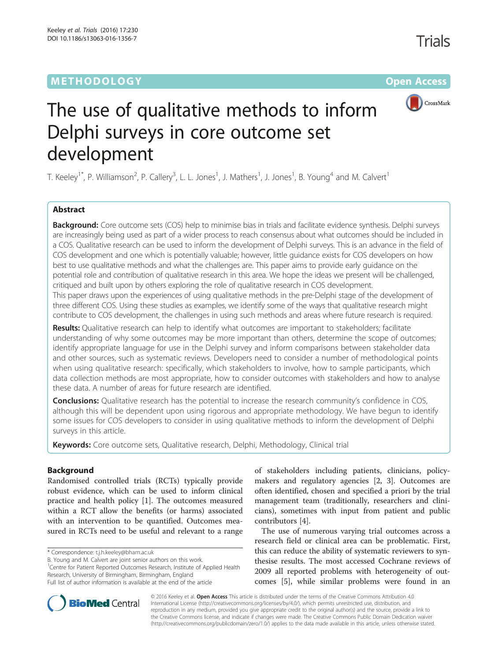## **METHODOLOGY CONSUMING ACCESS CONSUMING ACCESS**



# The use of qualitative methods to inform Delphi surveys in core outcome set development

T. Keeley<sup>1\*</sup>, P. Williamson<sup>2</sup>, P. Callery<sup>3</sup>, L. L. Jones<sup>1</sup>, J. Mathers<sup>1</sup>, J. Jones<sup>1</sup>, B. Young<sup>4</sup> and M. Calvert<sup>1</sup>

## Abstract

Background: Core outcome sets (COS) help to minimise bias in trials and facilitate evidence synthesis. Delphi surveys are increasingly being used as part of a wider process to reach consensus about what outcomes should be included in a COS. Qualitative research can be used to inform the development of Delphi surveys. This is an advance in the field of COS development and one which is potentially valuable; however, little guidance exists for COS developers on how best to use qualitative methods and what the challenges are. This paper aims to provide early guidance on the potential role and contribution of qualitative research in this area. We hope the ideas we present will be challenged, critiqued and built upon by others exploring the role of qualitative research in COS development. This paper draws upon the experiences of using qualitative methods in the pre-Delphi stage of the development of

three different COS. Using these studies as examples, we identify some of the ways that qualitative research might contribute to COS development, the challenges in using such methods and areas where future research is required.

Results: Qualitative research can help to identify what outcomes are important to stakeholders; facilitate understanding of why some outcomes may be more important than others, determine the scope of outcomes; identify appropriate language for use in the Delphi survey and inform comparisons between stakeholder data and other sources, such as systematic reviews. Developers need to consider a number of methodological points when using qualitative research: specifically, which stakeholders to involve, how to sample participants, which data collection methods are most appropriate, how to consider outcomes with stakeholders and how to analyse these data. A number of areas for future research are identified.

**Conclusions:** Qualitative research has the potential to increase the research community's confidence in COS, although this will be dependent upon using rigorous and appropriate methodology. We have begun to identify some issues for COS developers to consider in using qualitative methods to inform the development of Delphi surveys in this article.

**Keywords:** Core outcome sets, Qualitative research, Delphi, Methodology, Clinical trial

## Background

Randomised controlled trials (RCTs) typically provide robust evidence, which can be used to inform clinical practice and health policy [[1\]](#page-8-0). The outcomes measured within a RCT allow the benefits (or harms) associated with an intervention to be quantified. Outcomes measured in RCTs need to be useful and relevant to a range

\* Correspondence: [t.j.h.keeley@bham.ac.uk](mailto:t.j.h.keeley@bham.ac.uk)

B. Young and M. Calvert are joint senior authors on this work. <sup>1</sup> Centre for Patient Reported Outcomes Research, Institute of Applied Health Research, University of Birmingham, Birmingham, England

of stakeholders including patients, clinicians, policymakers and regulatory agencies [\[2, 3\]](#page-8-0). Outcomes are often identified, chosen and specified a priori by the trial management team (traditionally, researchers and clinicians), sometimes with input from patient and public contributors [\[4](#page-8-0)].

The use of numerous varying trial outcomes across a research field or clinical area can be problematic. First, this can reduce the ability of systematic reviewers to synthesise results. The most accessed Cochrane reviews of 2009 all reported problems with heterogeneity of outcomes [[5](#page-8-0)], while similar problems were found in an



© 2016 Keeley et al. Open Access This article is distributed under the terms of the Creative Commons Attribution 4.0 International License [\(http://creativecommons.org/licenses/by/4.0/](http://creativecommons.org/licenses/by/4.0/)), which permits unrestricted use, distribution, and reproduction in any medium, provided you give appropriate credit to the original author(s) and the source, provide a link to the Creative Commons license, and indicate if changes were made. The Creative Commons Public Domain Dedication waiver [\(http://creativecommons.org/publicdomain/zero/1.0/](http://creativecommons.org/publicdomain/zero/1.0/)) applies to the data made available in this article, unless otherwise stated.

Full list of author information is available at the end of the article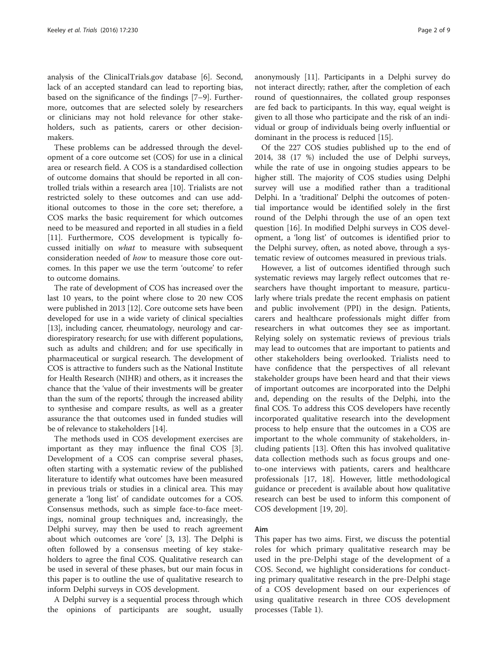analysis of the ClinicalTrials.gov database [\[6](#page-8-0)]. Second, lack of an accepted standard can lead to reporting bias, based on the significance of the findings [[7](#page-8-0)–[9\]](#page-8-0). Furthermore, outcomes that are selected solely by researchers or clinicians may not hold relevance for other stakeholders, such as patients, carers or other decisionmakers.

These problems can be addressed through the development of a core outcome set (COS) for use in a clinical area or research field. A COS is a standardised collection of outcome domains that should be reported in all controlled trials within a research area [[10\]](#page-8-0). Trialists are not restricted solely to these outcomes and can use additional outcomes to those in the core set; therefore, a COS marks the basic requirement for which outcomes need to be measured and reported in all studies in a field [[11\]](#page-8-0). Furthermore, COS development is typically focussed initially on what to measure with subsequent consideration needed of how to measure those core outcomes. In this paper we use the term 'outcome' to refer to outcome domains.

The rate of development of COS has increased over the last 10 years, to the point where close to 20 new COS were published in 2013 [\[12](#page-8-0)]. Core outcome sets have been developed for use in a wide variety of clinical specialties [[13](#page-8-0)], including cancer, rheumatology, neurology and cardiorespiratory research; for use with different populations, such as adults and children; and for use specifically in pharmaceutical or surgical research. The development of COS is attractive to funders such as the National Institute for Health Research (NIHR) and others, as it increases the chance that the 'value of their investments will be greater than the sum of the reports', through the increased ability to synthesise and compare results, as well as a greater assurance the that outcomes used in funded studies will be of relevance to stakeholders [\[14\]](#page-8-0).

The methods used in COS development exercises are important as they may influence the final COS [\[3](#page-8-0)]. Development of a COS can comprise several phases, often starting with a systematic review of the published literature to identify what outcomes have been measured in previous trials or studies in a clinical area. This may generate a 'long list' of candidate outcomes for a COS. Consensus methods, such as simple face-to-face meetings, nominal group techniques and, increasingly, the Delphi survey, may then be used to reach agreement about which outcomes are 'core' [[3](#page-8-0), [13\]](#page-8-0). The Delphi is often followed by a consensus meeting of key stakeholders to agree the final COS. Qualitative research can be used in several of these phases, but our main focus in this paper is to outline the use of qualitative research to inform Delphi surveys in COS development.

A Delphi survey is a sequential process through which the opinions of participants are sought, usually anonymously [\[11](#page-8-0)]. Participants in a Delphi survey do not interact directly; rather, after the completion of each round of questionnaires, the collated group responses are fed back to participants. In this way, equal weight is given to all those who participate and the risk of an individual or group of individuals being overly influential or dominant in the process is reduced [\[15\]](#page-8-0).

Of the 227 COS studies published up to the end of 2014, 38 (17 %) included the use of Delphi surveys, while the rate of use in ongoing studies appears to be higher still. The majority of COS studies using Delphi survey will use a modified rather than a traditional Delphi. In a 'traditional' Delphi the outcomes of potential importance would be identified solely in the first round of the Delphi through the use of an open text question [\[16\]](#page-8-0). In modified Delphi surveys in COS development, a 'long list' of outcomes is identified prior to the Delphi survey, often, as noted above, through a systematic review of outcomes measured in previous trials.

However, a list of outcomes identified through such systematic reviews may largely reflect outcomes that researchers have thought important to measure, particularly where trials predate the recent emphasis on patient and public involvement (PPI) in the design. Patients, carers and healthcare professionals might differ from researchers in what outcomes they see as important. Relying solely on systematic reviews of previous trials may lead to outcomes that are important to patients and other stakeholders being overlooked. Trialists need to have confidence that the perspectives of all relevant stakeholder groups have been heard and that their views of important outcomes are incorporated into the Delphi and, depending on the results of the Delphi, into the final COS. To address this COS developers have recently incorporated qualitative research into the development process to help ensure that the outcomes in a COS are important to the whole community of stakeholders, including patients [\[13](#page-8-0)]. Often this has involved qualitative data collection methods such as focus groups and oneto-one interviews with patients, carers and healthcare professionals [[17, 18](#page-8-0)]. However, little methodological guidance or precedent is available about how qualitative research can best be used to inform this component of COS development [[19, 20\]](#page-8-0).

#### Aim

This paper has two aims. First, we discuss the potential roles for which primary qualitative research may be used in the pre-Delphi stage of the development of a COS. Second, we highlight considerations for conducting primary qualitative research in the pre-Delphi stage of a COS development based on our experiences of using qualitative research in three COS development processes (Table [1\)](#page-2-0).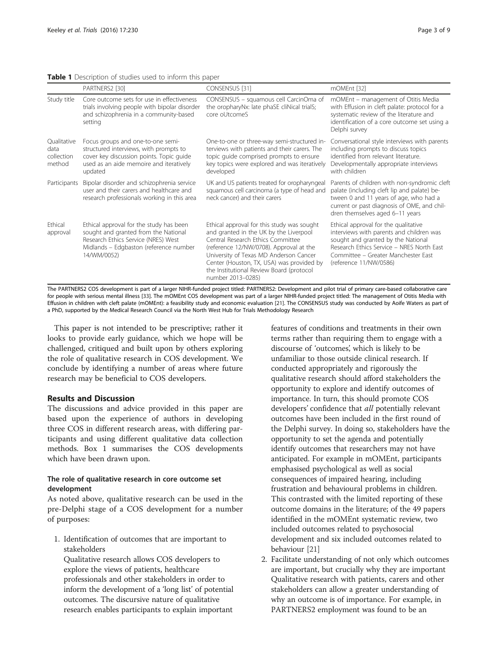<span id="page-2-0"></span>

|  |  | Table 1 Description of studies used to inform this paper |  |  |  |  |  |  |  |
|--|--|----------------------------------------------------------|--|--|--|--|--|--|--|
|--|--|----------------------------------------------------------|--|--|--|--|--|--|--|

|                                             | PARTNERS2 [30]                                                                                                                                                                  | CONSENSUS [31]                                                                                                                                                                                                                                                                                                               | mOMEnt [32]                                                                                                                                                                                                                          |  |
|---------------------------------------------|---------------------------------------------------------------------------------------------------------------------------------------------------------------------------------|------------------------------------------------------------------------------------------------------------------------------------------------------------------------------------------------------------------------------------------------------------------------------------------------------------------------------|--------------------------------------------------------------------------------------------------------------------------------------------------------------------------------------------------------------------------------------|--|
| Study title                                 | Core outcome sets for use in effectiveness<br>trials involving people with bipolar disorder<br>and schizophrenia in a community-based<br>setting                                | CONSENSUS - squamous cell CarcinOma of<br>the oropharyNx: late phaSE cliNical trialS;<br>core oUtcomeS                                                                                                                                                                                                                       | mOMEnt - management of Otitis Media<br>with Effusion in cleft palate: protocol for a<br>systematic review of the literature and<br>identification of a core outcome set using a<br>Delphi survey                                     |  |
| Qualitative<br>data<br>collection<br>method | Focus groups and one-to-one semi-<br>structured interviews, with prompts to<br>cover key discussion points. Topic quide<br>used as an aide memoire and iteratively<br>updated   | One-to-one or three-way semi-structured in-<br>terviews with patients and their carers. The<br>topic guide comprised prompts to ensure<br>key topics were explored and was iteratively<br>developed                                                                                                                          | Conversational style interviews with parents<br>including prompts to discuss topics<br>identified from relevant literature.<br>Developmentally appropriate interviews<br>with children                                               |  |
| Participants                                | Bipolar disorder and schizophrenia service<br>user and their carers and healthcare and<br>research professionals working in this area                                           | UK and US patients treated for oropharyngeal<br>squamous cell carcinoma (a type of head and<br>neck cancer) and their carers                                                                                                                                                                                                 | Parents of children with non-syndromic cleft<br>palate (including cleft lip and palate) be-<br>tween 0 and 11 years of age, who had a<br>current or past diagnosis of OME, and chil-<br>dren themselves aged 6-11 years              |  |
| Ethical<br>approval                         | Ethical approval for the study has been<br>sought and granted from the National<br>Research Ethics Service (NRES) West<br>Midlands - Edgbaston (reference number<br>14/WM/0052) | Ethical approval for this study was sought<br>and granted in the UK by the Liverpool<br>Central Research Ethics Committee<br>(reference 12/NW/0708). Approval at the<br>University of Texas MD Anderson Cancer<br>Center (Houston, TX, USA) was provided by<br>the Institutional Review Board (protocol<br>number 2013-0285) | Ethical approval for the qualitative<br>interviews with parents and children was<br>sought and granted by the National<br>Research Ethics Service - NRES North East<br>Committee - Greater Manchester East<br>(reference 11/NW/0586) |  |

The PARTNERS2 COS development is part of a larger NIHR-funded project titled: PARTNERS2: Development and pilot trial of primary care-based collaborative care for people with serious mental illness [\[33](#page-8-0)]. The mOMEnt COS development was part of a larger NIHR-funded project titled: The management of Otitis Media with Effusion in children with cleft palate (mOMEnt): a feasibility study and economic evaluation [[21\]](#page-8-0). The CONSENSUS study was conducted by Aoife Waters as part of a PhD, supported by the Medical Research Council via the North West Hub for Trials Methodology Research

This paper is not intended to be prescriptive; rather it looks to provide early guidance, which we hope will be challenged, critiqued and built upon by others exploring the role of qualitative research in COS development. We conclude by identifying a number of areas where future research may be beneficial to COS developers.

## Results and Discussion

The discussions and advice provided in this paper are based upon the experience of authors in developing three COS in different research areas, with differing participants and using different qualitative data collection methods. Box 1 summarises the COS developments which have been drawn upon.

## The role of qualitative research in core outcome set development

As noted above, qualitative research can be used in the pre-Delphi stage of a COS development for a number of purposes:

1. Identification of outcomes that are important to stakeholders

Qualitative research allows COS developers to explore the views of patients, healthcare professionals and other stakeholders in order to inform the development of a 'long list' of potential outcomes. The discursive nature of qualitative research enables participants to explain important

features of conditions and treatments in their own terms rather than requiring them to engage with a discourse of 'outcomes', which is likely to be unfamiliar to those outside clinical research. If conducted appropriately and rigorously the qualitative research should afford stakeholders the opportunity to explore and identify outcomes of importance. In turn, this should promote COS developers' confidence that all potentially relevant outcomes have been included in the first round of the Delphi survey. In doing so, stakeholders have the opportunity to set the agenda and potentially identify outcomes that researchers may not have anticipated. For example in mOMEnt, participants emphasised psychological as well as social consequences of impaired hearing, including frustration and behavioural problems in children. This contrasted with the limited reporting of these outcome domains in the literature; of the 49 papers identified in the mOMEnt systematic review, two included outcomes related to psychosocial development and six included outcomes related to behaviour [\[21\]](#page-8-0)

2. Facilitate understanding of not only which outcomes are important, but crucially why they are important Qualitative research with patients, carers and other stakeholders can allow a greater understanding of why an outcome is of importance. For example, in PARTNERS2 employment was found to be an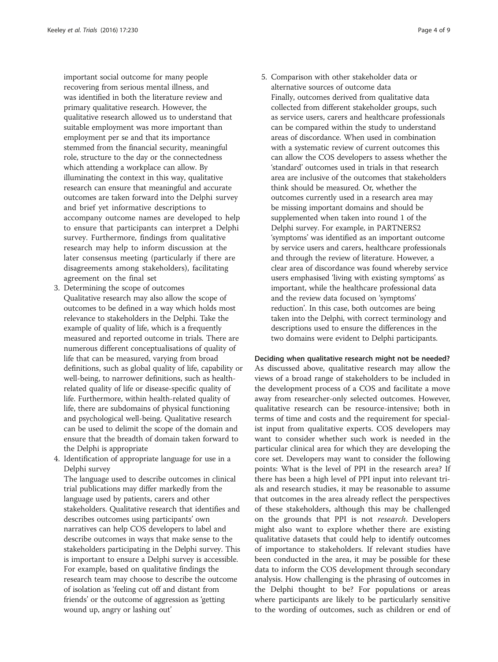important social outcome for many people recovering from serious mental illness, and was identified in both the literature review and primary qualitative research. However, the qualitative research allowed us to understand that suitable employment was more important than employment per se and that its importance stemmed from the financial security, meaningful role, structure to the day or the connectedness which attending a workplace can allow. By illuminating the context in this way, qualitative research can ensure that meaningful and accurate outcomes are taken forward into the Delphi survey and brief yet informative descriptions to accompany outcome names are developed to help to ensure that participants can interpret a Delphi survey. Furthermore, findings from qualitative research may help to inform discussion at the later consensus meeting (particularly if there are disagreements among stakeholders), facilitating agreement on the final set

- 3. Determining the scope of outcomes Qualitative research may also allow the scope of outcomes to be defined in a way which holds most relevance to stakeholders in the Delphi. Take the example of quality of life, which is a frequently measured and reported outcome in trials. There are numerous different conceptualisations of quality of life that can be measured, varying from broad definitions, such as global quality of life, capability or well-being, to narrower definitions, such as healthrelated quality of life or disease-specific quality of life. Furthermore, within health-related quality of life, there are subdomains of physical functioning and psychological well-being. Qualitative research can be used to delimit the scope of the domain and ensure that the breadth of domain taken forward to the Delphi is appropriate
- 4. Identification of appropriate language for use in a Delphi survey

The language used to describe outcomes in clinical trial publications may differ markedly from the language used by patients, carers and other stakeholders. Qualitative research that identifies and describes outcomes using participants' own narratives can help COS developers to label and describe outcomes in ways that make sense to the stakeholders participating in the Delphi survey. This is important to ensure a Delphi survey is accessible. For example, based on qualitative findings the research team may choose to describe the outcome of isolation as 'feeling cut off and distant from friends' or the outcome of aggression as 'getting wound up, angry or lashing out'

5. Comparison with other stakeholder data or alternative sources of outcome data Finally, outcomes derived from qualitative data collected from different stakeholder groups, such as service users, carers and healthcare professionals can be compared within the study to understand areas of discordance. When used in combination with a systematic review of current outcomes this can allow the COS developers to assess whether the 'standard' outcomes used in trials in that research area are inclusive of the outcomes that stakeholders think should be measured. Or, whether the outcomes currently used in a research area may be missing important domains and should be supplemented when taken into round 1 of the Delphi survey. For example, in PARTNERS2 'symptoms' was identified as an important outcome by service users and carers, healthcare professionals and through the review of literature. However, a clear area of discordance was found whereby service users emphasised 'living with existing symptoms' as important, while the healthcare professional data and the review data focused on 'symptoms' reduction'. In this case, both outcomes are being taken into the Delphi, with correct terminology and descriptions used to ensure the differences in the two domains were evident to Delphi participants.

Deciding when qualitative research might not be needed? As discussed above, qualitative research may allow the views of a broad range of stakeholders to be included in the development process of a COS and facilitate a move away from researcher-only selected outcomes. However, qualitative research can be resource-intensive; both in terms of time and costs and the requirement for specialist input from qualitative experts. COS developers may want to consider whether such work is needed in the particular clinical area for which they are developing the core set. Developers may want to consider the following points: What is the level of PPI in the research area? If there has been a high level of PPI input into relevant trials and research studies, it may be reasonable to assume that outcomes in the area already reflect the perspectives of these stakeholders, although this may be challenged on the grounds that PPI is not research. Developers might also want to explore whether there are existing qualitative datasets that could help to identify outcomes of importance to stakeholders. If relevant studies have been conducted in the area, it may be possible for these data to inform the COS development through secondary analysis. How challenging is the phrasing of outcomes in the Delphi thought to be? For populations or areas where participants are likely to be particularly sensitive to the wording of outcomes, such as children or end of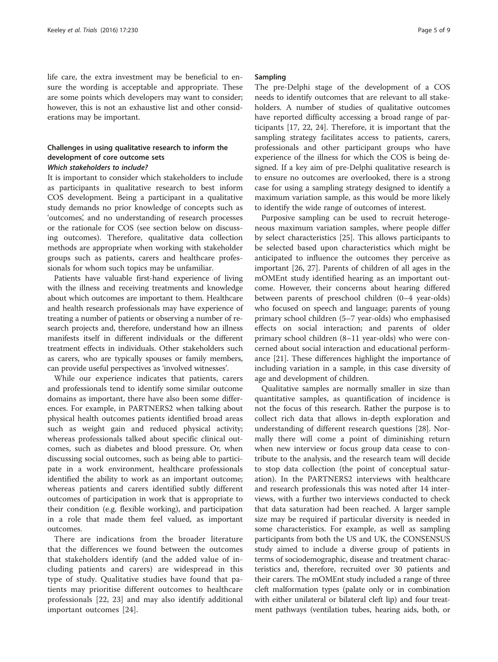life care, the extra investment may be beneficial to ensure the wording is acceptable and appropriate. These are some points which developers may want to consider; however, this is not an exhaustive list and other considerations may be important.

## Challenges in using qualitative research to inform the development of core outcome sets Which stakeholders to include?

It is important to consider which stakeholders to include as participants in qualitative research to best inform COS development. Being a participant in a qualitative study demands no prior knowledge of concepts such as 'outcomes', and no understanding of research processes or the rationale for COS (see section below on discussing outcomes). Therefore, qualitative data collection methods are appropriate when working with stakeholder groups such as patients, carers and healthcare professionals for whom such topics may be unfamiliar.

Patients have valuable first-hand experience of living with the illness and receiving treatments and knowledge about which outcomes are important to them. Healthcare and health research professionals may have experience of treating a number of patients or observing a number of research projects and, therefore, understand how an illness manifests itself in different individuals or the different treatment effects in individuals. Other stakeholders such as carers, who are typically spouses or family members, can provide useful perspectives as 'involved witnesses'.

While our experience indicates that patients, carers and professionals tend to identify some similar outcome domains as important, there have also been some differences. For example, in PARTNERS2 when talking about physical health outcomes patients identified broad areas such as weight gain and reduced physical activity; whereas professionals talked about specific clinical outcomes, such as diabetes and blood pressure. Or, when discussing social outcomes, such as being able to participate in a work environment, healthcare professionals identified the ability to work as an important outcome; whereas patients and carers identified subtly different outcomes of participation in work that is appropriate to their condition (e.g. flexible working), and participation in a role that made them feel valued, as important outcomes.

There are indications from the broader literature that the differences we found between the outcomes that stakeholders identify (and the added value of including patients and carers) are widespread in this type of study. Qualitative studies have found that patients may prioritise different outcomes to healthcare professionals [[22](#page-8-0), [23\]](#page-8-0) and may also identify additional important outcomes [[24\]](#page-8-0).

#### Sampling

The pre-Delphi stage of the development of a COS needs to identify outcomes that are relevant to all stakeholders. A number of studies of qualitative outcomes have reported difficulty accessing a broad range of participants [\[17](#page-8-0), [22, 24](#page-8-0)]. Therefore, it is important that the sampling strategy facilitates access to patients, carers, professionals and other participant groups who have experience of the illness for which the COS is being designed. If a key aim of pre-Delphi qualitative research is to ensure no outcomes are overlooked, there is a strong case for using a sampling strategy designed to identify a maximum variation sample, as this would be more likely to identify the wide range of outcomes of interest.

Purposive sampling can be used to recruit heterogeneous maximum variation samples, where people differ by select characteristics [\[25\]](#page-8-0). This allows participants to be selected based upon characteristics which might be anticipated to influence the outcomes they perceive as important [\[26](#page-8-0), [27\]](#page-8-0). Parents of children of all ages in the mOMEnt study identified hearing as an important outcome. However, their concerns about hearing differed between parents of preschool children (0–4 year-olds) who focused on speech and language; parents of young primary school children (5–7 year-olds) who emphasised effects on social interaction; and parents of older primary school children (8–11 year-olds) who were concerned about social interaction and educational performance [\[21\]](#page-8-0). These differences highlight the importance of including variation in a sample, in this case diversity of age and development of children.

Qualitative samples are normally smaller in size than quantitative samples, as quantification of incidence is not the focus of this research. Rather the purpose is to collect rich data that allows in-depth exploration and understanding of different research questions [\[28\]](#page-8-0). Normally there will come a point of diminishing return when new interview or focus group data cease to contribute to the analysis, and the research team will decide to stop data collection (the point of conceptual saturation). In the PARTNERS2 interviews with healthcare and research professionals this was noted after 14 interviews, with a further two interviews conducted to check that data saturation had been reached. A larger sample size may be required if particular diversity is needed in some characteristics. For example, as well as sampling participants from both the US and UK, the CONSENSUS study aimed to include a diverse group of patients in terms of sociodemographic, disease and treatment characteristics and, therefore, recruited over 30 patients and their carers. The mOMEnt study included a range of three cleft malformation types (palate only or in combination with either unilateral or bilateral cleft lip) and four treatment pathways (ventilation tubes, hearing aids, both, or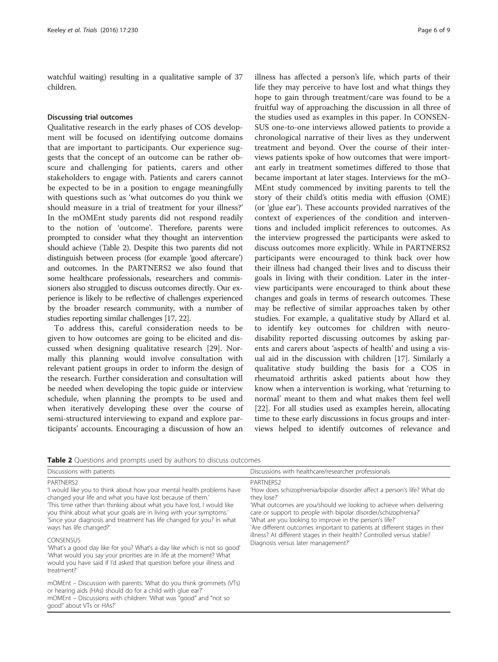watchful waiting) resulting in a qualitative sample of 37 children.

#### Discussing trial outcomes

Qualitative research in the early phases of COS development will be focused on identifying outcome domains that are important to participants. Our experience suggests that the concept of an outcome can be rather obscure and challenging for patients, carers and other stakeholders to engage with. Patients and carers cannot be expected to be in a position to engage meaningfully with questions such as 'what outcomes do you think we should measure in a trial of treatment for your illness?' In the mOMEnt study parents did not respond readily to the notion of 'outcome'. Therefore, parents were prompted to consider what they thought an intervention should achieve (Table 2). Despite this two parents did not distinguish between process (for example 'good aftercare') and outcomes. In the PARTNERS2 we also found that some healthcare professionals, researchers and commissioners also struggled to discuss outcomes directly. Our experience is likely to be reflective of challenges experienced by the broader research community, with a number of studies reporting similar challenges [\[17](#page-8-0), [22](#page-8-0)].

To address this, careful consideration needs to be given to how outcomes are going to be elicited and discussed when designing qualitative research [\[29](#page-8-0)]. Normally this planning would involve consultation with relevant patient groups in order to inform the design of the research. Further consideration and consultation will be needed when developing the topic guide or interview schedule, when planning the prompts to be used and when iteratively developing these over the course of semi-structured interviewing to expand and explore participants' accounts. Encouraging a discussion of how an

illness has affected a person's life, which parts of their life they may perceive to have lost and what things they hope to gain through treatment/care was found to be a fruitful way of approaching the discussion in all three of the studies used as examples in this paper. In CONSEN-SUS one-to-one interviews allowed patients to provide a chronological narrative of their lives as they underwent treatment and beyond. Over the course of their interviews patients spoke of how outcomes that were important early in treatment sometimes differed to those that became important at later stages. Interviews for the mO-MEnt study commenced by inviting parents to tell the story of their child's otitis media with effusion (OME) (or 'glue ear'). These accounts provided narratives of the context of experiences of the condition and interventions and included implicit references to outcomes. As the interview progressed the participants were asked to discuss outcomes more explicitly. While in PARTNERS2 participants were encouraged to think back over how their illness had changed their lives and to discuss their goals in living with their condition. Later in the interview participants were encouraged to think about these changes and goals in terms of research outcomes. These may be reflective of similar approaches taken by other studies. For example, a qualitative study by Allard et al. to identify key outcomes for children with neurodisability reported discussing outcomes by asking parents and carers about 'aspects of health' and using a visual aid in the discussion with children [\[17\]](#page-8-0). Similarly a qualitative study building the basis for a COS in rheumatoid arthritis asked patients about how they know when a intervention is working, what 'returning to normal' meant to them and what makes them feel well [[22\]](#page-8-0). For all studies used as examples herein, allocating time to these early discussions in focus groups and interviews helped to identify outcomes of relevance and

Table 2 Questions and prompts used by authors to discuss outcomes

| Discussions with patients                                                                                                                                                                                                                                                                                                                                                                                                                                                                                                                                                                                                                                           | Discussions with healthcare/researcher professionals                                                                                                                                                                                                                                                                                                                                                                                                                                                      |  |  |  |
|---------------------------------------------------------------------------------------------------------------------------------------------------------------------------------------------------------------------------------------------------------------------------------------------------------------------------------------------------------------------------------------------------------------------------------------------------------------------------------------------------------------------------------------------------------------------------------------------------------------------------------------------------------------------|-----------------------------------------------------------------------------------------------------------------------------------------------------------------------------------------------------------------------------------------------------------------------------------------------------------------------------------------------------------------------------------------------------------------------------------------------------------------------------------------------------------|--|--|--|
| PARTNERS2<br>'I would like you to think about how your mental health problems have<br>changed your life and what you have lost because of them.'<br>This time rather than thinking about what you have lost, I would like<br>you think about what your goals are in living with your symptoms.'<br>'Since your diagnosis and treatment has life changed for you? In what<br>ways has life changed?'<br><b>CONSENSUS</b><br>'What's a good day like for you? What's a day like which is not so good'<br>'What would you say your priorities are in life at the moment? What<br>would you have said if I'd asked that question before your illness and<br>treatment?' | PARTNERS2<br>'How does schizophrenia/bipolar disorder affect a person's life? What do<br>they lose?'<br>'What outcomes are you/should we looking to achieve when delivering<br>care or support to people with bipolar disorder/schizophrenia?'<br>'What are you looking to improve in the person's life?'<br>'Are different outcomes important to patients at different stages in their<br>illness? At different stages in their health? Controlled versus stable?<br>Diagnosis versus later management?' |  |  |  |
| mOMEnt - Discussion with parents: 'What do you think grommets (VTs)<br>or hearing aids (HAs) should do for a child with glue ear?'<br>mOMEnt - Discussions with children: 'What was "good" and "not so<br>good" about VTs or HAs?'                                                                                                                                                                                                                                                                                                                                                                                                                                  |                                                                                                                                                                                                                                                                                                                                                                                                                                                                                                           |  |  |  |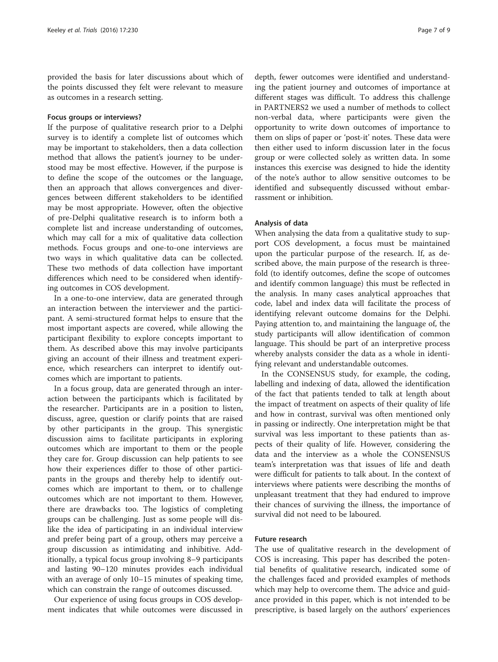provided the basis for later discussions about which of the points discussed they felt were relevant to measure as outcomes in a research setting.

## Focus groups or interviews?

If the purpose of qualitative research prior to a Delphi survey is to identify a complete list of outcomes which may be important to stakeholders, then a data collection method that allows the patient's journey to be understood may be most effective. However, if the purpose is to define the scope of the outcomes or the language, then an approach that allows convergences and divergences between different stakeholders to be identified may be most appropriate. However, often the objective of pre-Delphi qualitative research is to inform both a complete list and increase understanding of outcomes, which may call for a mix of qualitative data collection methods. Focus groups and one-to-one interviews are two ways in which qualitative data can be collected. These two methods of data collection have important differences which need to be considered when identifying outcomes in COS development.

In a one-to-one interview, data are generated through an interaction between the interviewer and the participant. A semi-structured format helps to ensure that the most important aspects are covered, while allowing the participant flexibility to explore concepts important to them. As described above this may involve participants giving an account of their illness and treatment experience, which researchers can interpret to identify outcomes which are important to patients.

In a focus group, data are generated through an interaction between the participants which is facilitated by the researcher. Participants are in a position to listen, discuss, agree, question or clarify points that are raised by other participants in the group. This synergistic discussion aims to facilitate participants in exploring outcomes which are important to them or the people they care for. Group discussion can help patients to see how their experiences differ to those of other participants in the groups and thereby help to identify outcomes which are important to them, or to challenge outcomes which are not important to them. However, there are drawbacks too. The logistics of completing groups can be challenging. Just as some people will dislike the idea of participating in an individual interview and prefer being part of a group, others may perceive a group discussion as intimidating and inhibitive. Additionally, a typical focus group involving 8–9 participants and lasting 90–120 minutes provides each individual with an average of only 10–15 minutes of speaking time, which can constrain the range of outcomes discussed.

Our experience of using focus groups in COS development indicates that while outcomes were discussed in

depth, fewer outcomes were identified and understanding the patient journey and outcomes of importance at different stages was difficult. To address this challenge in PARTNERS2 we used a number of methods to collect non-verbal data, where participants were given the opportunity to write down outcomes of importance to them on slips of paper or 'post-it' notes. These data were then either used to inform discussion later in the focus group or were collected solely as written data. In some instances this exercise was designed to hide the identity of the note's author to allow sensitive outcomes to be identified and subsequently discussed without embarrassment or inhibition.

#### Analysis of data

When analysing the data from a qualitative study to support COS development, a focus must be maintained upon the particular purpose of the research. If, as described above, the main purpose of the research is threefold (to identify outcomes, define the scope of outcomes and identify common language) this must be reflected in the analysis. In many cases analytical approaches that code, label and index data will facilitate the process of identifying relevant outcome domains for the Delphi. Paying attention to, and maintaining the language of, the study participants will allow identification of common language. This should be part of an interpretive process whereby analysts consider the data as a whole in identifying relevant and understandable outcomes.

In the CONSENSUS study, for example, the coding, labelling and indexing of data, allowed the identification of the fact that patients tended to talk at length about the impact of treatment on aspects of their quality of life and how in contrast, survival was often mentioned only in passing or indirectly. One interpretation might be that survival was less important to these patients than aspects of their quality of life. However, considering the data and the interview as a whole the CONSENSUS team's interpretation was that issues of life and death were difficult for patients to talk about. In the context of interviews where patients were describing the months of unpleasant treatment that they had endured to improve their chances of surviving the illness, the importance of survival did not need to be laboured.

#### Future research

The use of qualitative research in the development of COS is increasing. This paper has described the potential benefits of qualitative research, indicated some of the challenges faced and provided examples of methods which may help to overcome them. The advice and guidance provided in this paper, which is not intended to be prescriptive, is based largely on the authors' experiences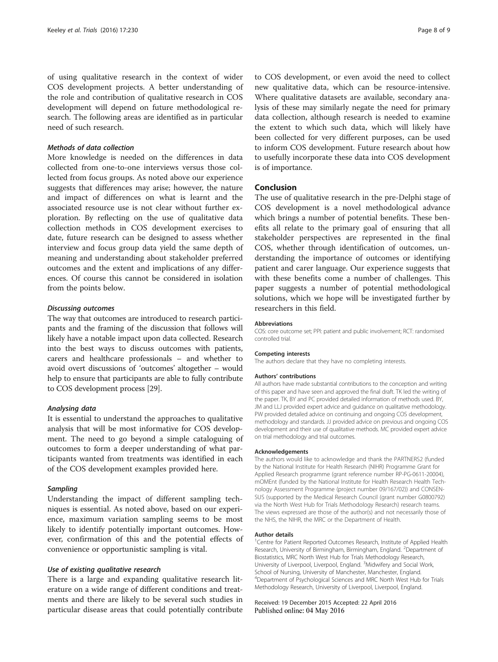of using qualitative research in the context of wider COS development projects. A better understanding of the role and contribution of qualitative research in COS development will depend on future methodological research. The following areas are identified as in particular need of such research.

#### Methods of data collection

More knowledge is needed on the differences in data collected from one-to-one interviews versus those collected from focus groups. As noted above our experience suggests that differences may arise; however, the nature and impact of differences on what is learnt and the associated resource use is not clear without further exploration. By reflecting on the use of qualitative data collection methods in COS development exercises to date, future research can be designed to assess whether interview and focus group data yield the same depth of meaning and understanding about stakeholder preferred outcomes and the extent and implications of any differences. Of course this cannot be considered in isolation from the points below.

#### Discussing outcomes

The way that outcomes are introduced to research participants and the framing of the discussion that follows will likely have a notable impact upon data collected. Research into the best ways to discuss outcomes with patients, carers and healthcare professionals – and whether to avoid overt discussions of 'outcomes' altogether – would help to ensure that participants are able to fully contribute to COS development process [\[29\]](#page-8-0).

#### Analysing data

It is essential to understand the approaches to qualitative analysis that will be most informative for COS development. The need to go beyond a simple cataloguing of outcomes to form a deeper understanding of what participants wanted from treatments was identified in each of the COS development examples provided here.

#### **Sampling**

Understanding the impact of different sampling techniques is essential. As noted above, based on our experience, maximum variation sampling seems to be most likely to identify potentially important outcomes. However, confirmation of this and the potential effects of convenience or opportunistic sampling is vital.

## Use of existing qualitative research

There is a large and expanding qualitative research literature on a wide range of different conditions and treatments and there are likely to be several such studies in particular disease areas that could potentially contribute

to COS development, or even avoid the need to collect new qualitative data, which can be resource-intensive. Where qualitative datasets are available, secondary analysis of these may similarly negate the need for primary data collection, although research is needed to examine the extent to which such data, which will likely have been collected for very different purposes, can be used to inform COS development. Future research about how to usefully incorporate these data into COS development is of importance.

#### Conclusion

The use of qualitative research in the pre-Delphi stage of COS development is a novel methodological advance which brings a number of potential benefits. These benefits all relate to the primary goal of ensuring that all stakeholder perspectives are represented in the final COS, whether through identification of outcomes, understanding the importance of outcomes or identifying patient and carer language. Our experience suggests that with these benefits come a number of challenges. This paper suggests a number of potential methodological solutions, which we hope will be investigated further by researchers in this field.

#### Abbreviations

COS: core outcome set; PPI: patient and public involvement; RCT: randomised controlled trial.

#### Competing interests

The authors declare that they have no completing interests.

#### Authors' contributions

All authors have made substantial contributions to the conception and writing of this paper and have seen and approved the final draft. TK led the writing of the paper. TK, BY and PC provided detailed information of methods used. BY, JM and LLJ provided expert advice and guidance on qualitative methodology. PW provided detailed advice on continuing and ongoing COS development, methodology and standards. JJ provided advice on previous and ongoing COS development and their use of qualitative methods. MC provided expert advice on trial methodology and trial outcomes.

#### Acknowledgements

The authors would like to acknowledge and thank the PARTNERS2 (funded by the National Institute for Health Research (NIHR) Programme Grant for Applied Research programme (grant reference number RP-PG-0611-20004), mOMEnt (funded by the National Institute for Health Research Health Technology Assessment Programme (project number 09/167/02)) and CONSEN-SUS (supported by the Medical Research Council (grant number G0800792) via the North West Hub for Trials Methodology Research) research teams. The views expressed are those of the author(s) and not necessarily those of the NHS, the NIHR, the MRC or the Department of Health.

#### Author details

<sup>1</sup> Centre for Patient Reported Outcomes Research, Institute of Applied Health Research, University of Birmingham, Birmingham, England. <sup>2</sup>Department of Biostatistics, MRC North West Hub for Trials Methodology Research, University of Liverpool, Liverpool, England. <sup>3</sup>Midwifery and Social Work School of Nursing, University of Manchester, Manchester, England. 4 Department of Psychological Sciences and MRC North West Hub for Trials Methodology Research, University of Liverpool, Liverpool, England.

Received: 19 December 2015 Accepted: 22 April 2016 Published online: 04 May 2016